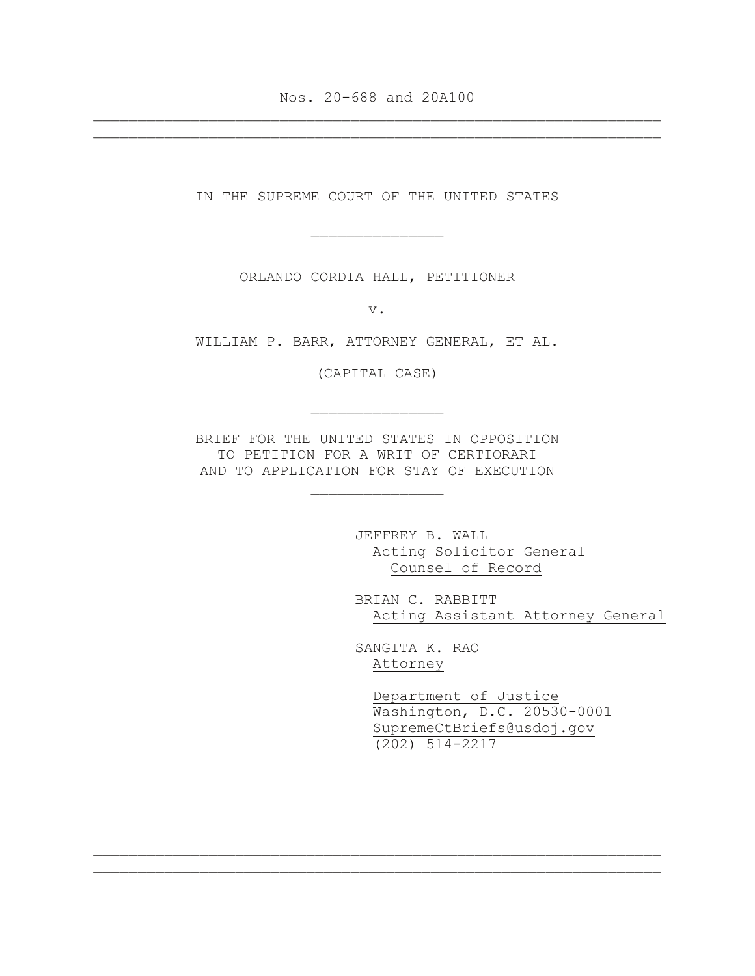Nos. 20-688 and 20A100 \_\_\_\_\_\_\_\_\_\_\_\_\_\_\_\_\_\_\_\_\_\_\_\_\_\_\_\_\_\_\_\_\_\_\_\_\_\_\_\_\_\_\_\_\_\_\_\_\_\_\_\_\_\_\_\_\_\_\_\_\_\_\_\_

\_\_\_\_\_\_\_\_\_\_\_\_\_\_\_\_\_\_\_\_\_\_\_\_\_\_\_\_\_\_\_\_\_\_\_\_\_\_\_\_\_\_\_\_\_\_\_\_\_\_\_\_\_\_\_\_\_\_\_\_\_\_\_\_

IN THE SUPREME COURT OF THE UNITED STATES

\_\_\_\_\_\_\_\_\_\_\_\_\_\_\_

ORLANDO CORDIA HALL, PETITIONER

v.

WILLIAM P. BARR, ATTORNEY GENERAL, ET AL.

(CAPITAL CASE)

\_\_\_\_\_\_\_\_\_\_\_\_\_\_\_

BRIEF FOR THE UNITED STATES IN OPPOSITION TO PETITION FOR A WRIT OF CERTIORARI AND TO APPLICATION FOR STAY OF EXECUTION

\_\_\_\_\_\_\_\_\_\_\_\_\_\_\_

JEFFREY B. WALL Acting Solicitor General Counsel of Record

BRIAN C. RABBITT Acting Assistant Attorney General

SANGITA K. RAO Attorney

\_\_\_\_\_\_\_\_\_\_\_\_\_\_\_\_\_\_\_\_\_\_\_\_\_\_\_\_\_\_\_\_\_\_\_\_\_\_\_\_\_\_\_\_\_\_\_\_\_\_\_\_\_\_\_\_\_\_\_\_\_\_\_\_ \_\_\_\_\_\_\_\_\_\_\_\_\_\_\_\_\_\_\_\_\_\_\_\_\_\_\_\_\_\_\_\_\_\_\_\_\_\_\_\_\_\_\_\_\_\_\_\_\_\_\_\_\_\_\_\_\_\_\_\_\_\_\_\_

 Department of Justice Washington, D.C. 20530-0001 SupremeCtBriefs@usdoj.gov (202) 514-2217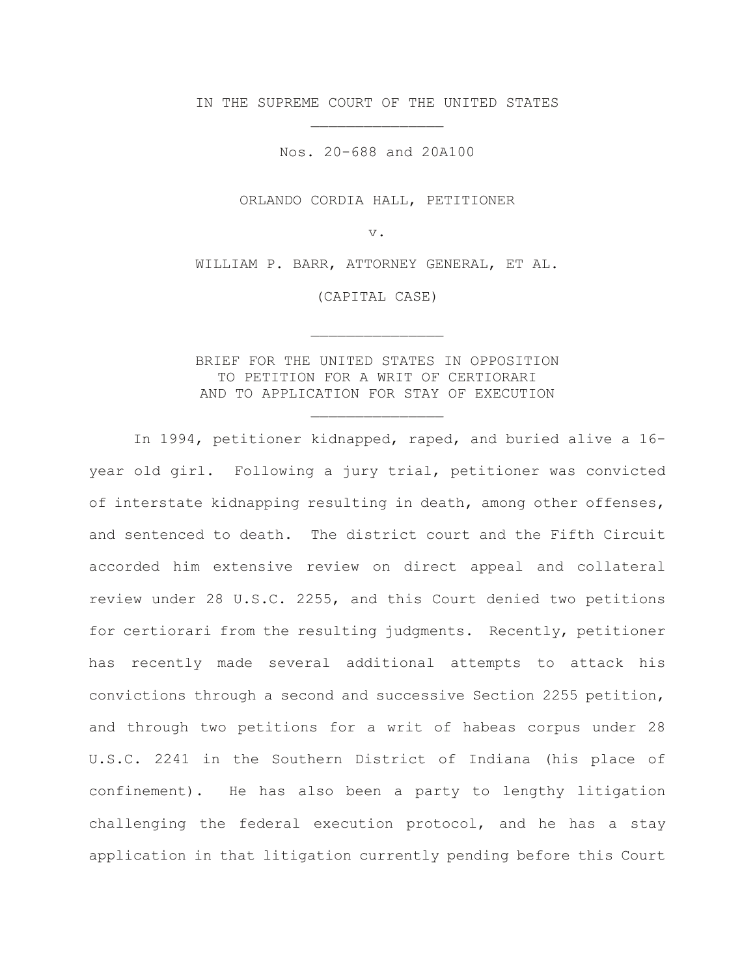IN THE SUPREME COURT OF THE UNITED STATES \_\_\_\_\_\_\_\_\_\_\_\_\_\_\_

Nos. 20-688 and 20A100

ORLANDO CORDIA HALL, PETITIONER

v.

WILLIAM P. BARR, ATTORNEY GENERAL, ET AL.

(CAPITAL CASE)

\_\_\_\_\_\_\_\_\_\_\_\_\_\_\_

BRIEF FOR THE UNITED STATES IN OPPOSITION TO PETITION FOR A WRIT OF CERTIORARI AND TO APPLICATION FOR STAY OF EXECUTION

\_\_\_\_\_\_\_\_\_\_\_\_\_\_\_

In 1994, petitioner kidnapped, raped, and buried alive a 16 year old girl. Following a jury trial, petitioner was convicted of interstate kidnapping resulting in death, among other offenses, and sentenced to death. The district court and the Fifth Circuit accorded him extensive review on direct appeal and collateral review under 28 U.S.C. 2255, and this Court denied two petitions for certiorari from the resulting judgments. Recently, petitioner has recently made several additional attempts to attack his convictions through a second and successive Section 2255 petition, and through two petitions for a writ of habeas corpus under 28 U.S.C. 2241 in the Southern District of Indiana (his place of confinement). He has also been a party to lengthy litigation challenging the federal execution protocol, and he has a stay application in that litigation currently pending before this Court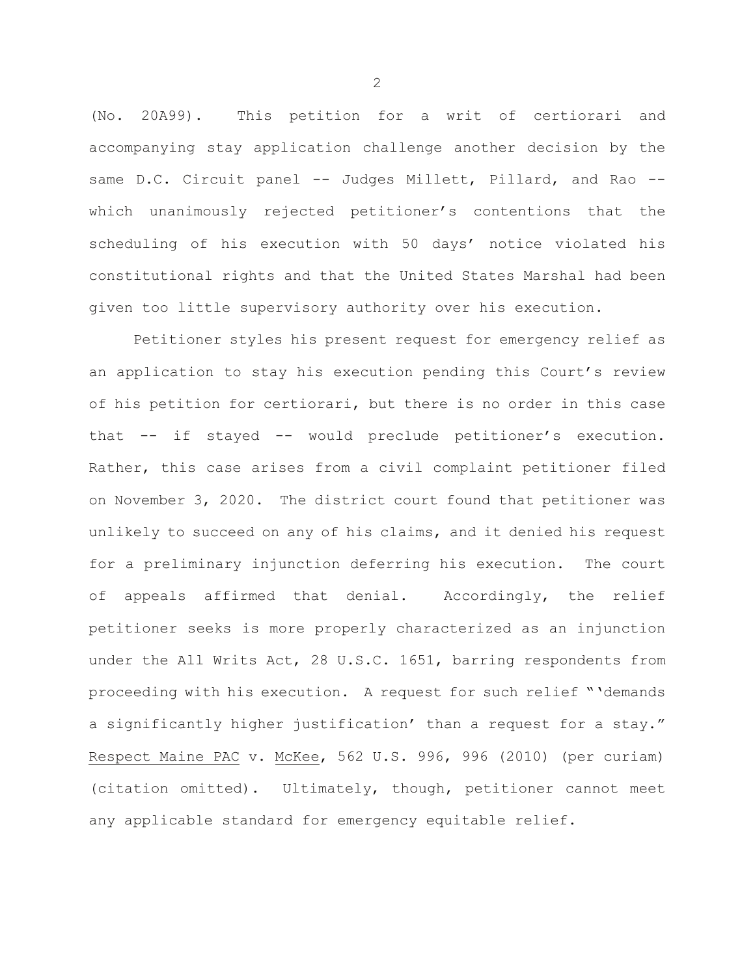(No. 20A99). This petition for a writ of certiorari and accompanying stay application challenge another decision by the same D.C. Circuit panel -- Judges Millett, Pillard, and Rao -which unanimously rejected petitioner's contentions that the scheduling of his execution with 50 days' notice violated his constitutional rights and that the United States Marshal had been given too little supervisory authority over his execution.

Petitioner styles his present request for emergency relief as an application to stay his execution pending this Court's review of his petition for certiorari, but there is no order in this case that -- if stayed -- would preclude petitioner's execution. Rather, this case arises from a civil complaint petitioner filed on November 3, 2020. The district court found that petitioner was unlikely to succeed on any of his claims, and it denied his request for a preliminary injunction deferring his execution. The court of appeals affirmed that denial. Accordingly, the relief petitioner seeks is more properly characterized as an injunction under the All Writs Act, 28 U.S.C. 1651, barring respondents from proceeding with his execution. A request for such relief "'demands a significantly higher justification' than a request for a stay." Respect Maine PAC v. McKee, 562 U.S. 996, 996 (2010) (per curiam) (citation omitted). Ultimately, though, petitioner cannot meet any applicable standard for emergency equitable relief.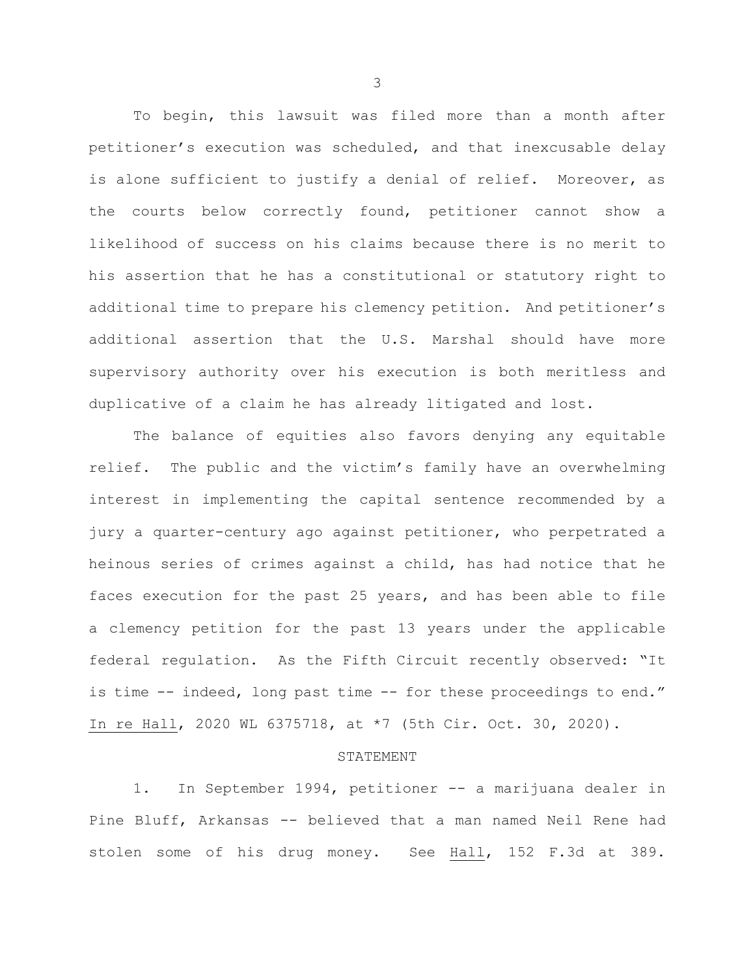To begin, this lawsuit was filed more than a month after petitioner's execution was scheduled, and that inexcusable delay is alone sufficient to justify a denial of relief. Moreover, as the courts below correctly found, petitioner cannot show a likelihood of success on his claims because there is no merit to his assertion that he has a constitutional or statutory right to additional time to prepare his clemency petition. And petitioner's additional assertion that the U.S. Marshal should have more supervisory authority over his execution is both meritless and duplicative of a claim he has already litigated and lost.

The balance of equities also favors denying any equitable relief. The public and the victim's family have an overwhelming interest in implementing the capital sentence recommended by a jury a quarter-century ago against petitioner, who perpetrated a heinous series of crimes against a child, has had notice that he faces execution for the past 25 years, and has been able to file a clemency petition for the past 13 years under the applicable federal regulation. As the Fifth Circuit recently observed: "It is time -- indeed, long past time -- for these proceedings to end." In re Hall, 2020 WL 6375718, at \*7 (5th Cir. Oct. 30, 2020).

## STATEMENT

1. In September 1994, petitioner -- a marijuana dealer in Pine Bluff, Arkansas -- believed that a man named Neil Rene had stolen some of his drug money. See Hall, 152 F.3d at 389.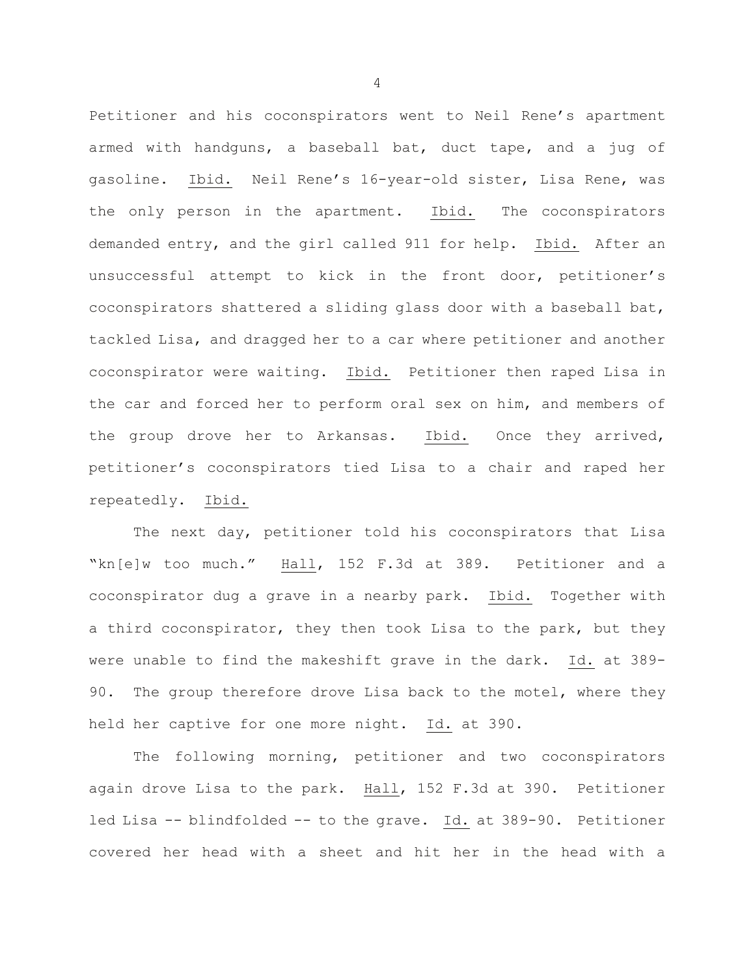Petitioner and his coconspirators went to Neil Rene's apartment armed with handguns, a baseball bat, duct tape, and a jug of gasoline. Ibid.Neil Rene's 16-year-old sister, Lisa Rene, was the only person in the apartment. Ibid. The coconspirators demanded entry, and the girl called 911 for help. Ibid. After an unsuccessful attempt to kick in the front door, petitioner's coconspirators shattered a sliding glass door with a baseball bat, tackled Lisa, and dragged her to a car where petitioner and another coconspirator were waiting. Ibid. Petitioner then raped Lisa in the car and forced her to perform oral sex on him, and members of the group drove her to Arkansas. Ibid. Once they arrived, petitioner's coconspirators tied Lisa to a chair and raped her repeatedly. Ibid.

The next day, petitioner told his coconspirators that Lisa "kn[e]w too much." Hall, 152 F.3d at 389.Petitioner and a coconspirator dug a grave in a nearby park. Ibid. Together with a third coconspirator, they then took Lisa to the park, but they were unable to find the makeshift grave in the dark. Id. at 389- 90. The group therefore drove Lisa back to the motel, where they held her captive for one more night. Id. at 390.

The following morning, petitioner and two coconspirators again drove Lisa to the park. Hall, 152 F.3d at 390. Petitioner led Lisa -- blindfolded -- to the grave. Id. at 389-90. Petitioner covered her head with a sheet and hit her in the head with a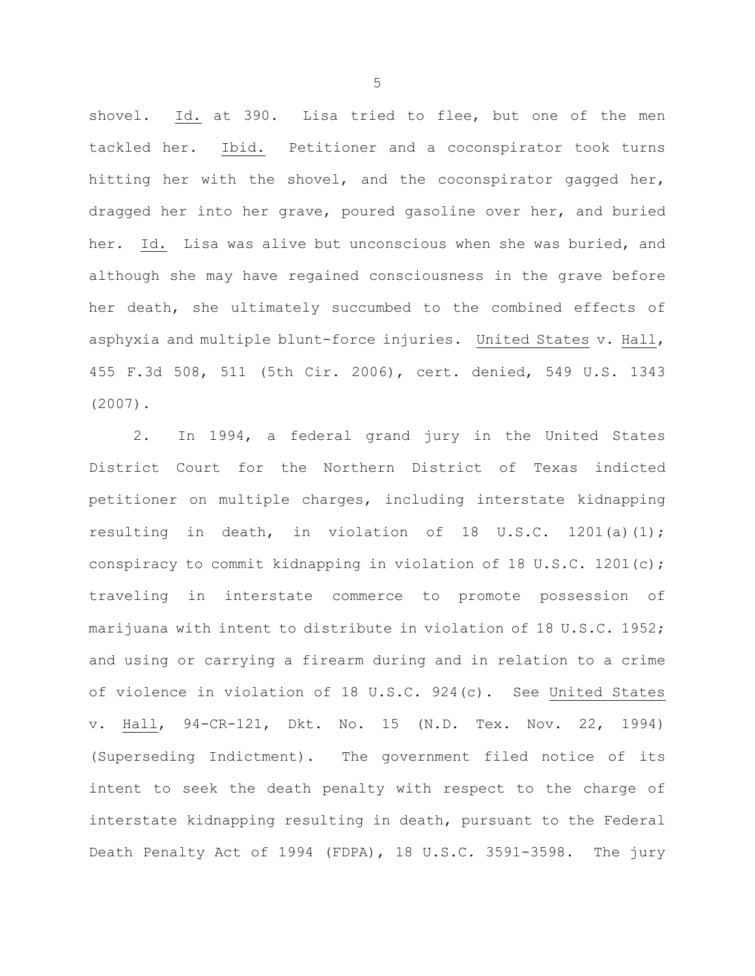shovel. Id. at 390. Lisa tried to flee, but one of the men tackled her. Ibid. Petitioner and a coconspirator took turns hitting her with the shovel, and the coconspirator gagged her, dragged her into her grave, poured gasoline over her, and buried her. Id.Lisa was alive but unconscious when she was buried, and although she may have regained consciousness in the grave before her death, she ultimately succumbed to the combined effects of asphyxia and multiple blunt-force injuries. United States v. Hall, 455 F.3d 508, 511 (5th Cir. 2006), cert. denied, 549 U.S. 1343 (2007).

2. In 1994, a federal grand jury in the United States District Court for the Northern District of Texas indicted petitioner on multiple charges, including interstate kidnapping resulting in death, in violation of 18 U.S.C. 1201(a)(1); conspiracy to commit kidnapping in violation of 18 U.S.C. 1201(c); traveling in interstate commerce to promote possession of marijuana with intent to distribute in violation of 18 U.S.C. 1952; and using or carrying a firearm during and in relation to a crime of violence in violation of 18 U.S.C. 924(c). See United States v. Hall, 94-CR-121, Dkt. No. 15 (N.D. Tex. Nov. 22, 1994) (Superseding Indictment). The government filed notice of its intent to seek the death penalty with respect to the charge of interstate kidnapping resulting in death, pursuant to the Federal Death Penalty Act of 1994 (FDPA), 18 U.S.C. 3591-3598. The jury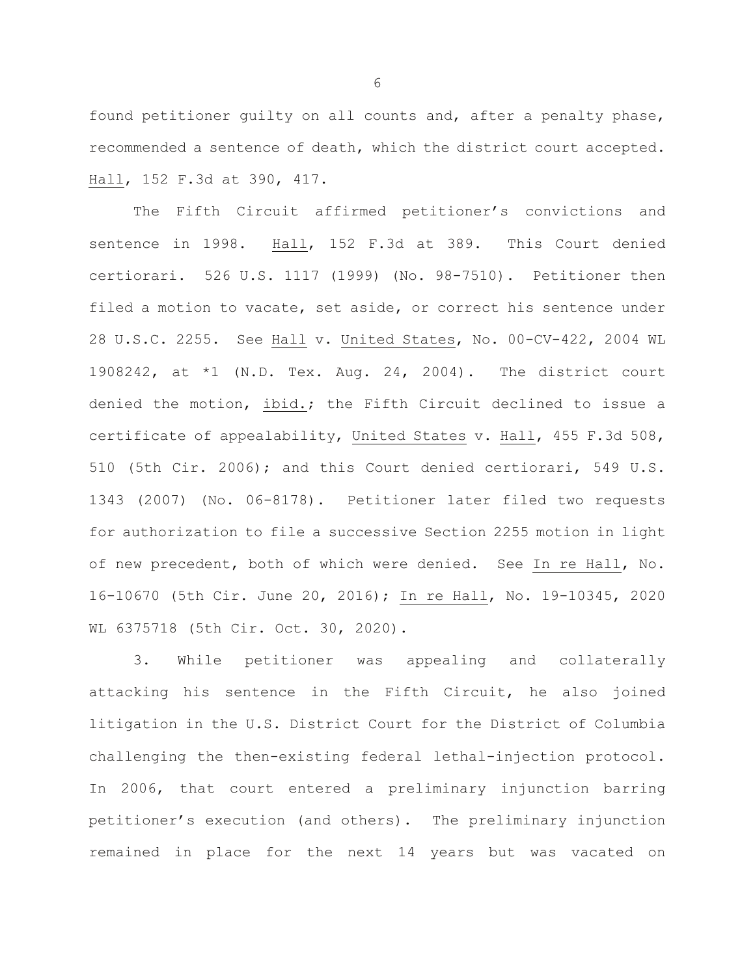found petitioner guilty on all counts and, after a penalty phase, recommended a sentence of death, which the district court accepted. Hall, 152 F.3d at 390, 417.

The Fifth Circuit affirmed petitioner's convictions and sentence in 1998. Hall, 152 F.3d at 389. This Court denied certiorari. 526 U.S. 1117 (1999) (No. 98-7510). Petitioner then filed a motion to vacate, set aside, or correct his sentence under 28 U.S.C. 2255. See Hall v. United States, No. 00-CV-422, 2004 WL 1908242, at \*1 (N.D. Tex. Aug. 24, 2004). The district court denied the motion, ibid.; the Fifth Circuit declined to issue a certificate of appealability, United States v. Hall, 455 F.3d 508, 510 (5th Cir. 2006); and this Court denied certiorari, 549 U.S. 1343 (2007) (No. 06-8178). Petitioner later filed two requests for authorization to file a successive Section 2255 motion in light of new precedent, both of which were denied. See In re Hall, No. 16-10670 (5th Cir. June 20, 2016); In re Hall, No. 19-10345, 2020 WL 6375718 (5th Cir. Oct. 30, 2020).

3. While petitioner was appealing and collaterally attacking his sentence in the Fifth Circuit, he also joined litigation in the U.S. District Court for the District of Columbia challenging the then-existing federal lethal-injection protocol. In 2006, that court entered a preliminary injunction barring petitioner's execution (and others). The preliminary injunction remained in place for the next 14 years but was vacated on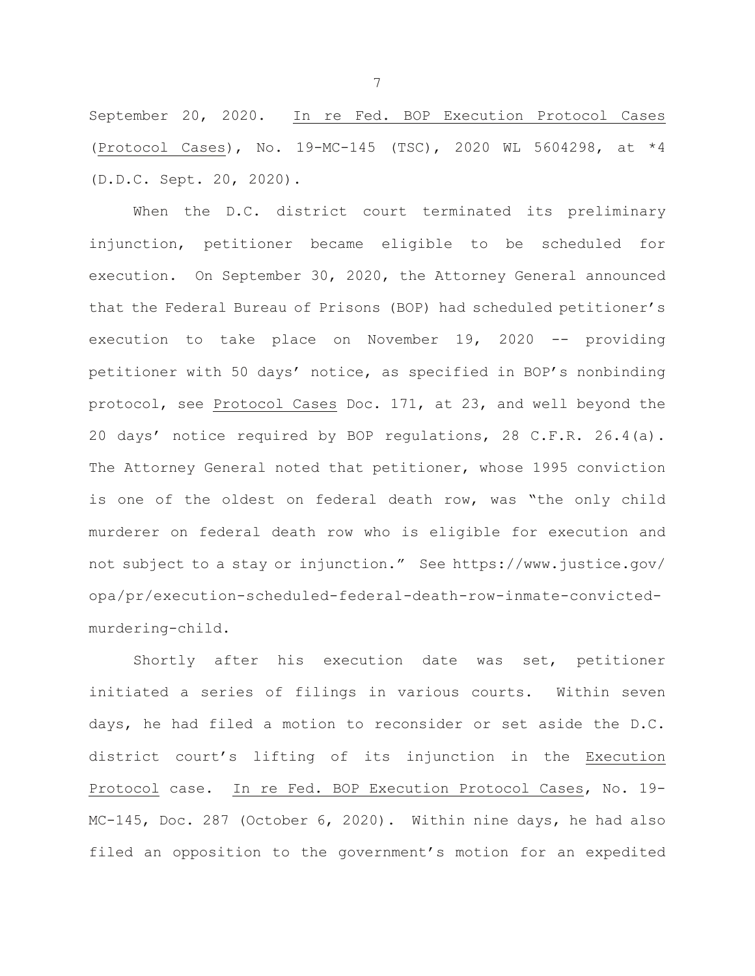September 20, 2020. In re Fed. BOP Execution Protocol Cases (Protocol Cases), No. 19-MC-145 (TSC), 2020 WL 5604298, at \*4 (D.D.C. Sept. 20, 2020).

When the D.C. district court terminated its preliminary injunction, petitioner became eligible to be scheduled for execution. On September 30, 2020, the Attorney General announced that the Federal Bureau of Prisons (BOP) had scheduled petitioner's execution to take place on November 19, 2020 -- providing petitioner with 50 days' notice, as specified in BOP's nonbinding protocol, see Protocol Cases Doc. 171, at 23, and well beyond the 20 days' notice required by BOP regulations, 28 C.F.R. 26.4(a). The Attorney General noted that petitioner, whose 1995 conviction is one of the oldest on federal death row, was "the only child murderer on federal death row who is eligible for execution and not subject to a stay or injunction." See https://www.justice.gov/ opa/pr/execution-scheduled-federal-death-row-inmate-convictedmurdering-child.

Shortly after his execution date was set, petitioner initiated a series of filings in various courts. Within seven days, he had filed a motion to reconsider or set aside the D.C. district court's lifting of its injunction in the Execution Protocol case. In re Fed. BOP Execution Protocol Cases, No. 19- MC-145, Doc. 287 (October 6, 2020). Within nine days, he had also filed an opposition to the government's motion for an expedited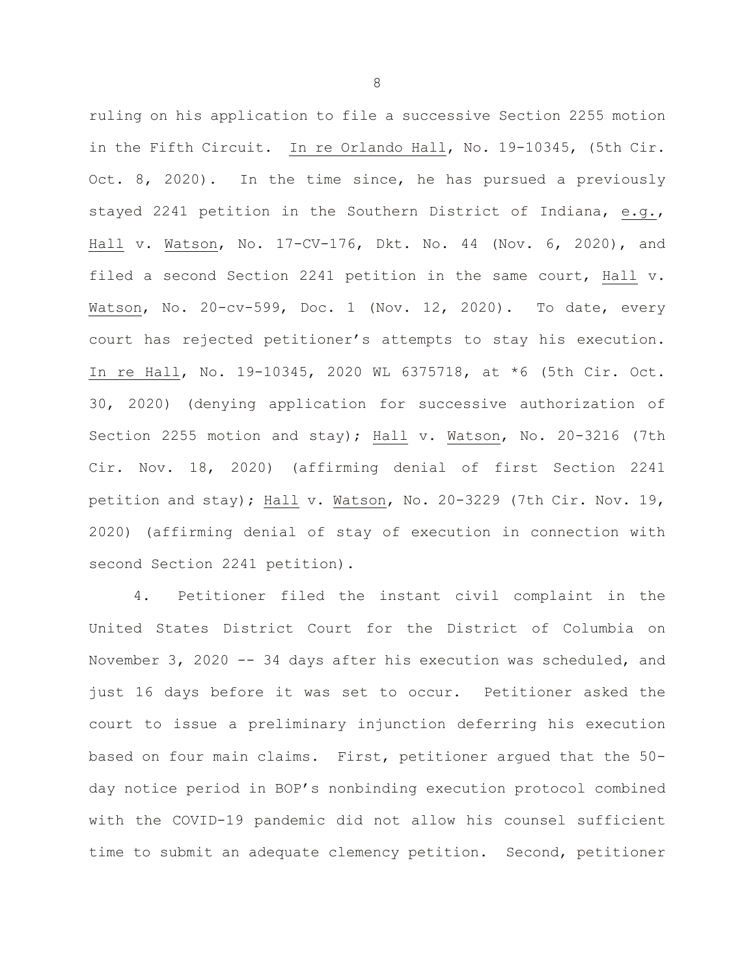ruling on his application to file a successive Section 2255 motion in the Fifth Circuit. In re Orlando Hall, No. 19-10345, (5th Cir. Oct. 8, 2020). In the time since, he has pursued a previously stayed 2241 petition in the Southern District of Indiana, e.g., Hall v. Watson, No. 17-CV-176, Dkt. No. 44 (Nov. 6, 2020), and filed a second Section 2241 petition in the same court, Hall v. Watson, No. 20-cv-599, Doc. 1 (Nov. 12, 2020). To date, every court has rejected petitioner's attempts to stay his execution. In re Hall, No. 19-10345, 2020 WL 6375718, at \*6 (5th Cir. Oct. 30, 2020) (denying application for successive authorization of Section 2255 motion and stay); Hall v. Watson, No. 20-3216 (7th Cir. Nov. 18, 2020) (affirming denial of first Section 2241 petition and stay); Hall v. Watson, No. 20-3229 (7th Cir. Nov. 19, 2020) (affirming denial of stay of execution in connection with second Section 2241 petition).

4. Petitioner filed the instant civil complaint in the United States District Court for the District of Columbia on November 3, 2020 -- 34 days after his execution was scheduled, and just 16 days before it was set to occur. Petitioner asked the court to issue a preliminary injunction deferring his execution based on four main claims. First, petitioner argued that the 50 day notice period in BOP's nonbinding execution protocol combined with the COVID-19 pandemic did not allow his counsel sufficient time to submit an adequate clemency petition. Second, petitioner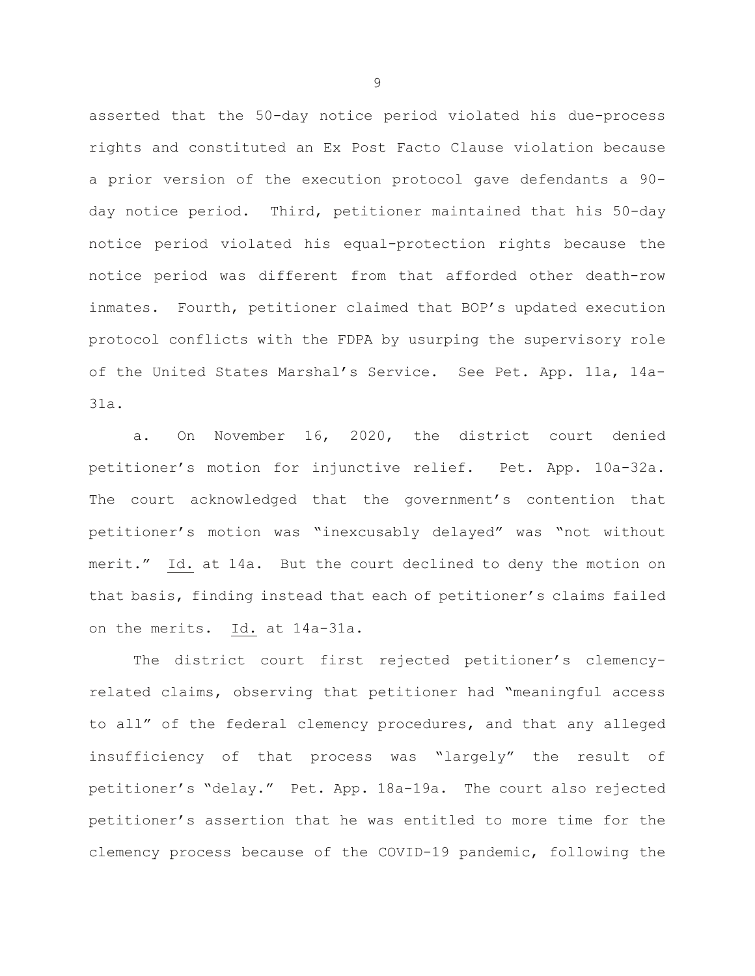asserted that the 50-day notice period violated his due-process rights and constituted an Ex Post Facto Clause violation because a prior version of the execution protocol gave defendants a 90 day notice period. Third, petitioner maintained that his 50-day notice period violated his equal-protection rights because the notice period was different from that afforded other death-row inmates. Fourth, petitioner claimed that BOP's updated execution protocol conflicts with the FDPA by usurping the supervisory role of the United States Marshal's Service. See Pet. App. 11a, 14a-31a.

a. On November 16, 2020, the district court denied petitioner's motion for injunctive relief. Pet. App. 10a-32a. The court acknowledged that the government's contention that petitioner's motion was "inexcusably delayed" was "not without merit." Id. at 14a. But the court declined to deny the motion on that basis, finding instead that each of petitioner's claims failed on the merits. Id. at 14a-31a.

The district court first rejected petitioner's clemencyrelated claims, observing that petitioner had "meaningful access to all" of the federal clemency procedures, and that any alleged insufficiency of that process was "largely" the result of petitioner's "delay." Pet. App. 18a-19a. The court also rejected petitioner's assertion that he was entitled to more time for the clemency process because of the COVID-19 pandemic, following the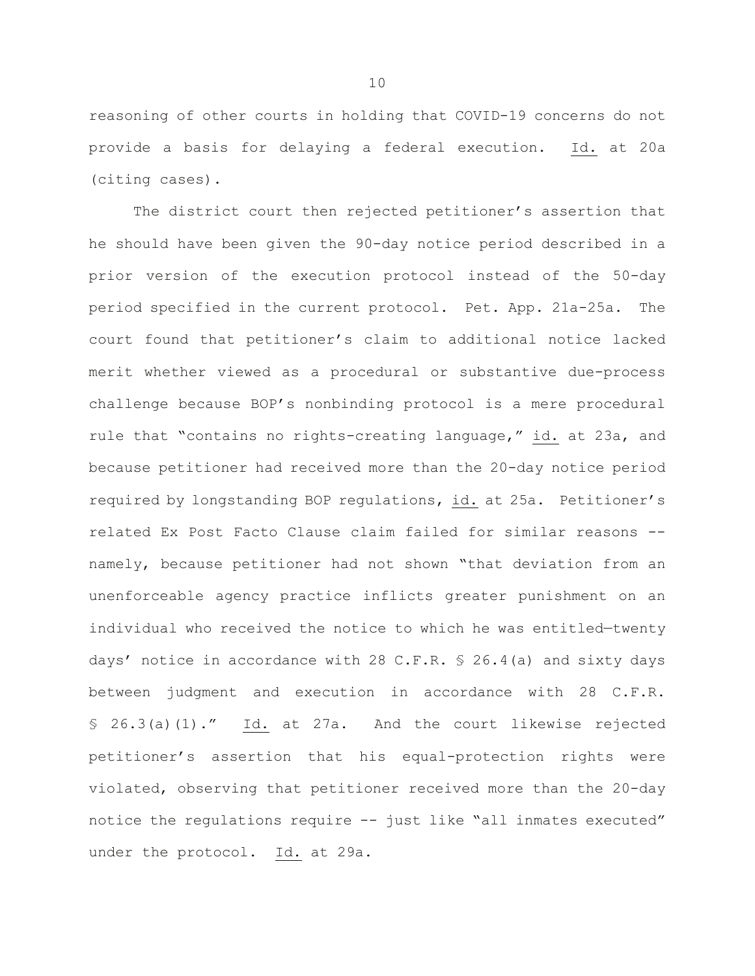reasoning of other courts in holding that COVID-19 concerns do not provide a basis for delaying a federal execution. Id. at 20a (citing cases).

The district court then rejected petitioner's assertion that he should have been given the 90-day notice period described in a prior version of the execution protocol instead of the 50-day period specified in the current protocol. Pet. App. 21a-25a. The court found that petitioner's claim to additional notice lacked merit whether viewed as a procedural or substantive due-process challenge because BOP's nonbinding protocol is a mere procedural rule that "contains no rights-creating language," id. at 23a, and because petitioner had received more than the 20-day notice period required by longstanding BOP regulations, id. at 25a. Petitioner's related Ex Post Facto Clause claim failed for similar reasons - namely, because petitioner had not shown "that deviation from an unenforceable agency practice inflicts greater punishment on an individual who received the notice to which he was entitled—twenty days' notice in accordance with 28 C.F.R. § 26.4(a) and sixty days between judgment and execution in accordance with 28 C.F.R. § 26.3(a)(1)." Id. at 27a. And the court likewise rejected petitioner's assertion that his equal-protection rights were violated, observing that petitioner received more than the 20-day notice the regulations require -- just like "all inmates executed" under the protocol. Id. at 29a.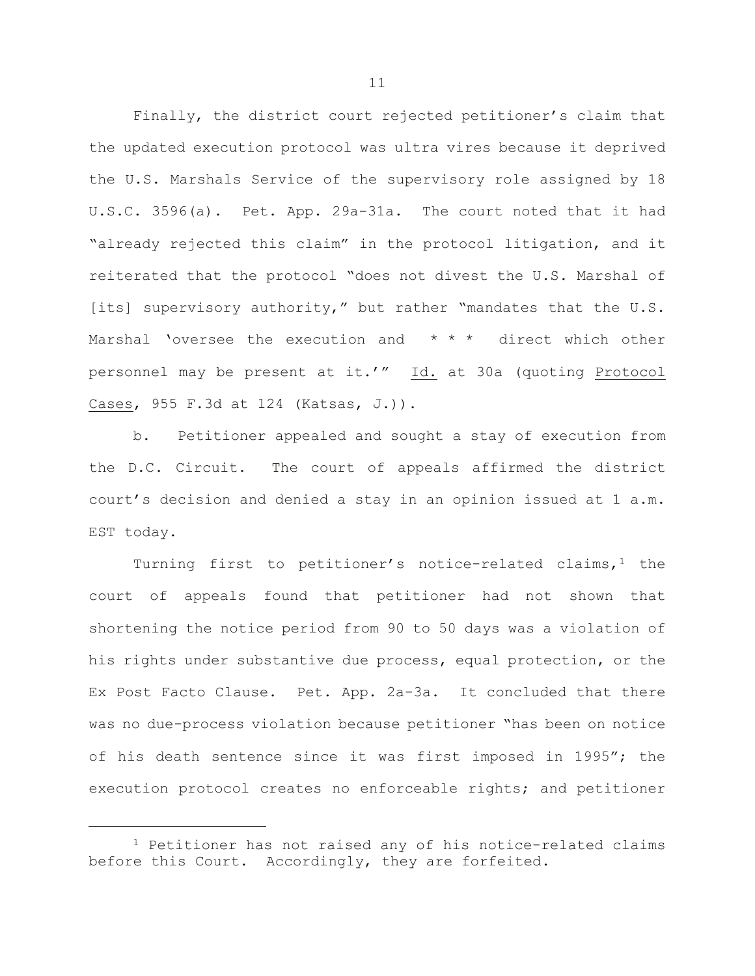Finally, the district court rejected petitioner's claim that the updated execution protocol was ultra vires because it deprived the U.S. Marshals Service of the supervisory role assigned by 18 U.S.C. 3596(a). Pet. App. 29a-31a. The court noted that it had "already rejected this claim" in the protocol litigation, and it reiterated that the protocol "does not divest the U.S. Marshal of [its] supervisory authority," but rather "mandates that the U.S. Marshal 'oversee the execution and  $* * *$  direct which other personnel may be present at it.'" Id. at 30a (quoting Protocol Cases, 955 F.3d at 124 (Katsas, J.)).

b. Petitioner appealed and sought a stay of execution from the D.C. Circuit. The court of appeals affirmed the district court's decision and denied a stay in an opinion issued at 1 a.m. EST today.

Turning first to petitioner's notice-related claims,  $1$  the court of appeals found that petitioner had not shown that shortening the notice period from 90 to 50 days was a violation of his rights under substantive due process, equal protection, or the Ex Post Facto Clause. Pet. App. 2a-3a. It concluded that there was no due-process violation because petitioner "has been on notice of his death sentence since it was first imposed in 1995"; the execution protocol creates no enforceable rights; and petitioner

Ĩ.

<span id="page-11-0"></span><sup>&</sup>lt;sup>1</sup> Petitioner has not raised any of his notice-related claims before this Court. Accordingly, they are forfeited.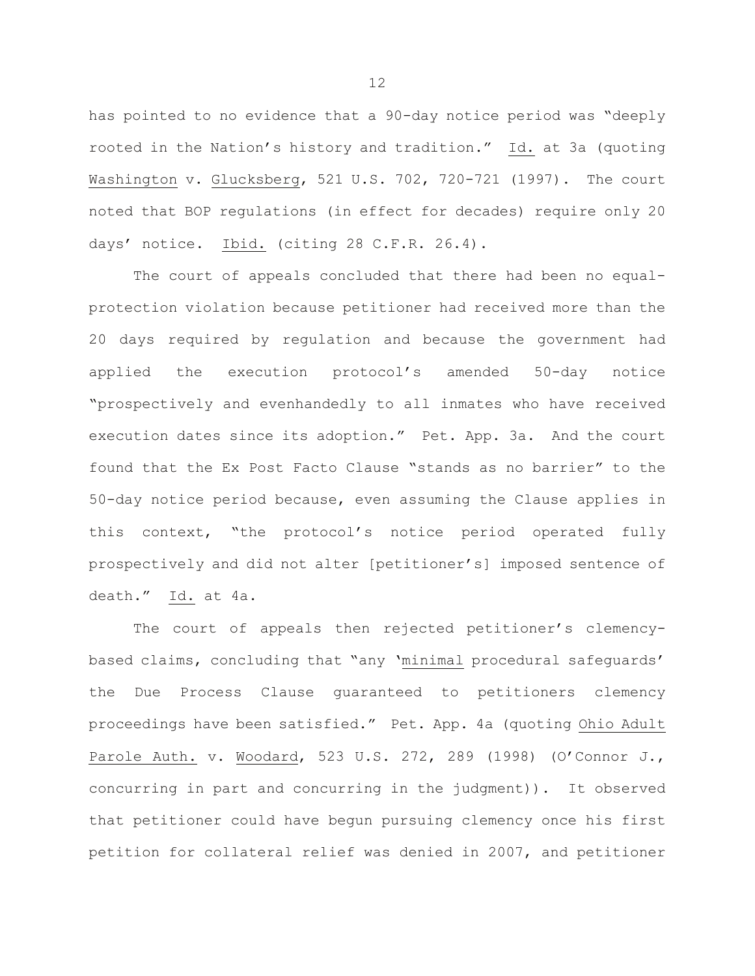has pointed to no evidence that a 90-day notice period was "deeply rooted in the Nation's history and tradition." Id. at 3a (quoting Washington v. Glucksberg, 521 U.S. 702, 720-721 (1997). The court noted that BOP regulations (in effect for decades) require only 20 days' notice. Ibid. (citing 28 C.F.R. 26.4).

The court of appeals concluded that there had been no equalprotection violation because petitioner had received more than the 20 days required by regulation and because the government had applied the execution protocol's amended 50-day notice "prospectively and evenhandedly to all inmates who have received execution dates since its adoption." Pet. App. 3a. And the court found that the Ex Post Facto Clause "stands as no barrier" to the 50-day notice period because, even assuming the Clause applies in this context, "the protocol's notice period operated fully prospectively and did not alter [petitioner's] imposed sentence of death." Id. at 4a.

The court of appeals then rejected petitioner's clemencybased claims, concluding that "any 'minimal procedural safeguards' the Due Process Clause guaranteed to petitioners clemency proceedings have been satisfied." Pet. App. 4a (quoting Ohio Adult Parole Auth. v. Woodard, 523 U.S. 272, 289 (1998) (O'Connor J., concurring in part and concurring in the judgment)). It observed that petitioner could have begun pursuing clemency once his first petition for collateral relief was denied in 2007, and petitioner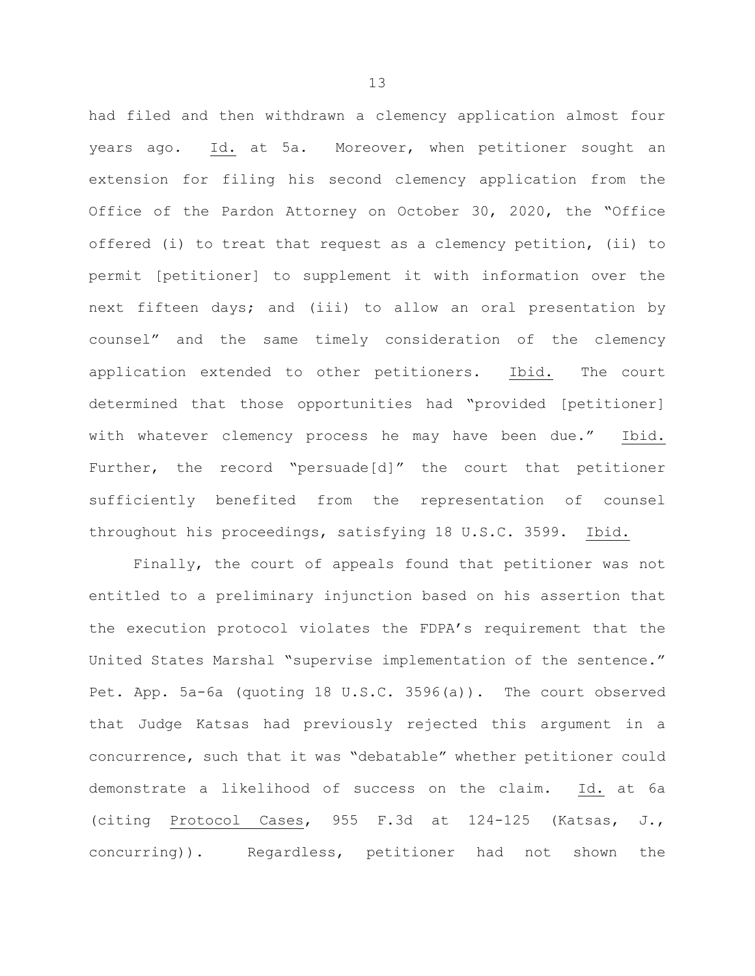had filed and then withdrawn a clemency application almost four years ago. Id. at 5a. Moreover, when petitioner sought an extension for filing his second clemency application from the Office of the Pardon Attorney on October 30, 2020, the "Office offered (i) to treat that request as a clemency petition, (ii) to permit [petitioner] to supplement it with information over the next fifteen days; and (iii) to allow an oral presentation by counsel" and the same timely consideration of the clemency application extended to other petitioners. Ibid. The court determined that those opportunities had "provided [petitioner] with whatever clemency process he may have been due." Ibid. Further, the record "persuade[d]" the court that petitioner sufficiently benefited from the representation of counsel throughout his proceedings, satisfying 18 U.S.C. 3599. Ibid.

Finally, the court of appeals found that petitioner was not entitled to a preliminary injunction based on his assertion that the execution protocol violates the FDPA's requirement that the United States Marshal "supervise implementation of the sentence." Pet. App. 5a-6a (quoting 18 U.S.C. 3596(a)). The court observed that Judge Katsas had previously rejected this argument in a concurrence, such that it was "debatable" whether petitioner could demonstrate a likelihood of success on the claim. Id. at 6a (citing Protocol Cases, 955 F.3d at 124-125 (Katsas, J., concurring)). Regardless, petitioner had not shown the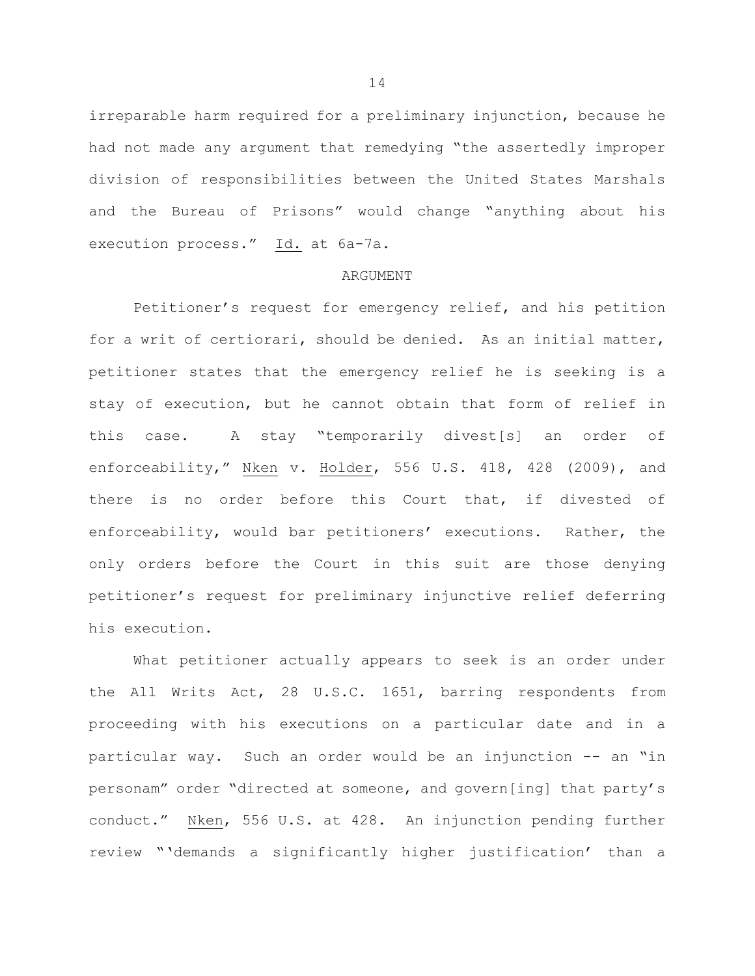irreparable harm required for a preliminary injunction, because he had not made any argument that remedying "the assertedly improper division of responsibilities between the United States Marshals and the Bureau of Prisons" would change "anything about his execution process." Id. at 6a-7a.

## ARGUMENT

Petitioner's request for emergency relief, and his petition for a writ of certiorari, should be denied. As an initial matter, petitioner states that the emergency relief he is seeking is a stay of execution, but he cannot obtain that form of relief in this case. A stay "temporarily divest[s] an order of enforceability," Nken v. Holder, 556 U.S. 418, 428 (2009), and there is no order before this Court that, if divested of enforceability, would bar petitioners' executions. Rather, the only orders before the Court in this suit are those denying petitioner's request for preliminary injunctive relief deferring his execution.

What petitioner actually appears to seek is an order under the All Writs Act, 28 U.S.C. 1651, barring respondents from proceeding with his executions on a particular date and in a particular way. Such an order would be an injunction -- an "in personam" order "directed at someone, and govern[ing] that party's conduct." Nken, 556 U.S. at 428. An injunction pending further review "'demands a significantly higher justification' than a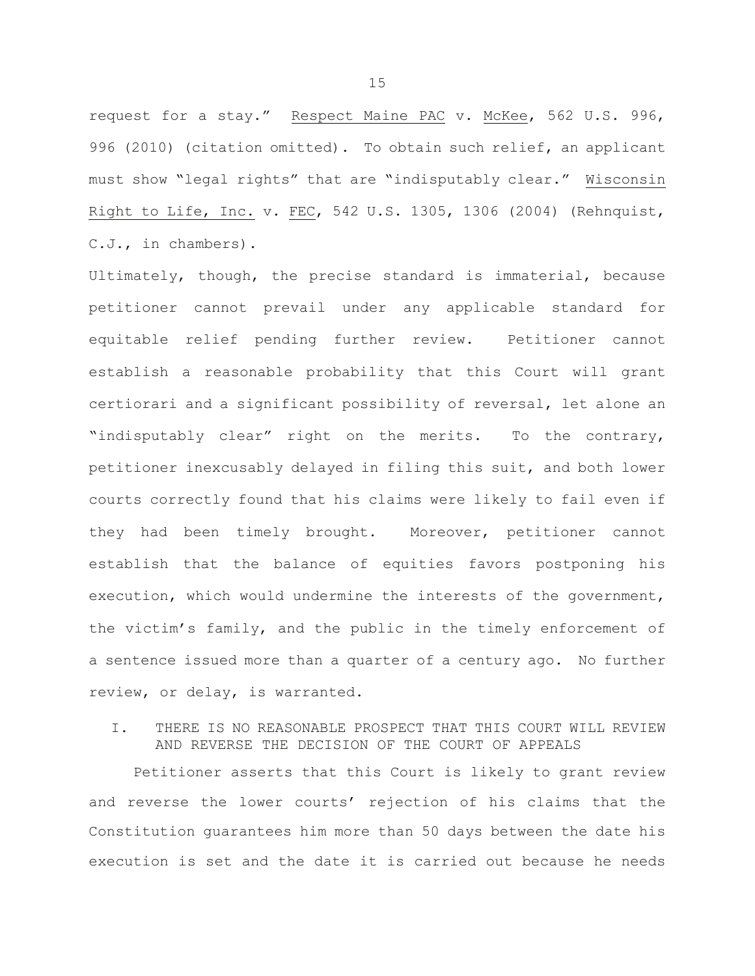request for a stay." Respect Maine PAC v. McKee, 562 U.S. 996, 996 (2010) (citation omitted). To obtain such relief, an applicant must show "legal rights" that are "indisputably clear." Wisconsin Right to Life, Inc. v. FEC, 542 U.S. 1305, 1306 (2004) (Rehnquist, C.J., in chambers).

Ultimately, though, the precise standard is immaterial, because petitioner cannot prevail under any applicable standard for equitable relief pending further review. Petitioner cannot establish a reasonable probability that this Court will grant certiorari and a significant possibility of reversal, let alone an "indisputably clear" right on the merits. To the contrary, petitioner inexcusably delayed in filing this suit, and both lower courts correctly found that his claims were likely to fail even if they had been timely brought. Moreover, petitioner cannot establish that the balance of equities favors postponing his execution, which would undermine the interests of the government, the victim's family, and the public in the timely enforcement of a sentence issued more than a quarter of a century ago. No further review, or delay, is warranted.

## I. THERE IS NO REASONABLE PROSPECT THAT THIS COURT WILL REVIEW AND REVERSE THE DECISION OF THE COURT OF APPEALS

Petitioner asserts that this Court is likely to grant review and reverse the lower courts' rejection of his claims that the Constitution guarantees him more than 50 days between the date his execution is set and the date it is carried out because he needs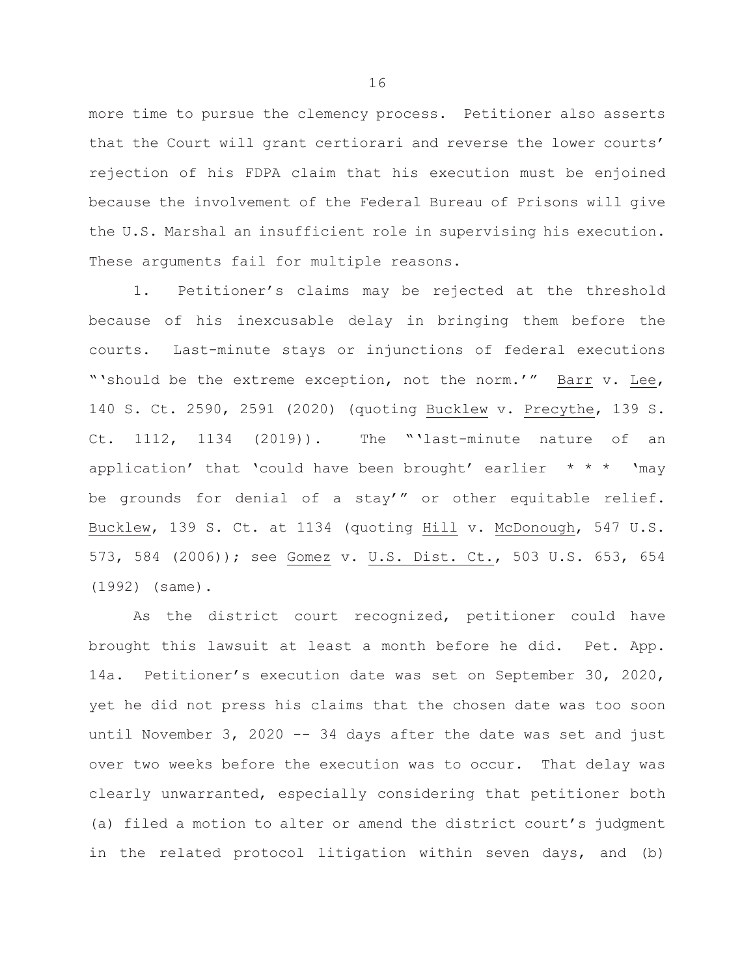more time to pursue the clemency process. Petitioner also asserts that the Court will grant certiorari and reverse the lower courts' rejection of his FDPA claim that his execution must be enjoined because the involvement of the Federal Bureau of Prisons will give the U.S. Marshal an insufficient role in supervising his execution. These arguments fail for multiple reasons.

1. Petitioner's claims may be rejected at the threshold because of his inexcusable delay in bringing them before the courts. Last-minute stays or injunctions of federal executions "'should be the extreme exception, not the norm.'" Barr v. Lee, 140 S. Ct. 2590, 2591 (2020) (quoting Bucklew v. Precythe, 139 S. Ct. 1112, 1134 (2019)). The "'last-minute nature of an application' that 'could have been brought' earlier  $* * * '$  'may be grounds for denial of a stay'" or other equitable relief. Bucklew, 139 S. Ct. at 1134 (quoting Hill v. McDonough, 547 U.S. 573, 584 (2006)); see Gomez v. U.S. Dist. Ct., 503 U.S. 653, 654 (1992) (same).

As the district court recognized, petitioner could have brought this lawsuit at least a month before he did. Pet. App. 14a. Petitioner's execution date was set on September 30, 2020, yet he did not press his claims that the chosen date was too soon until November 3, 2020 -- 34 days after the date was set and just over two weeks before the execution was to occur. That delay was clearly unwarranted, especially considering that petitioner both (a) filed a motion to alter or amend the district court's judgment in the related protocol litigation within seven days, and (b)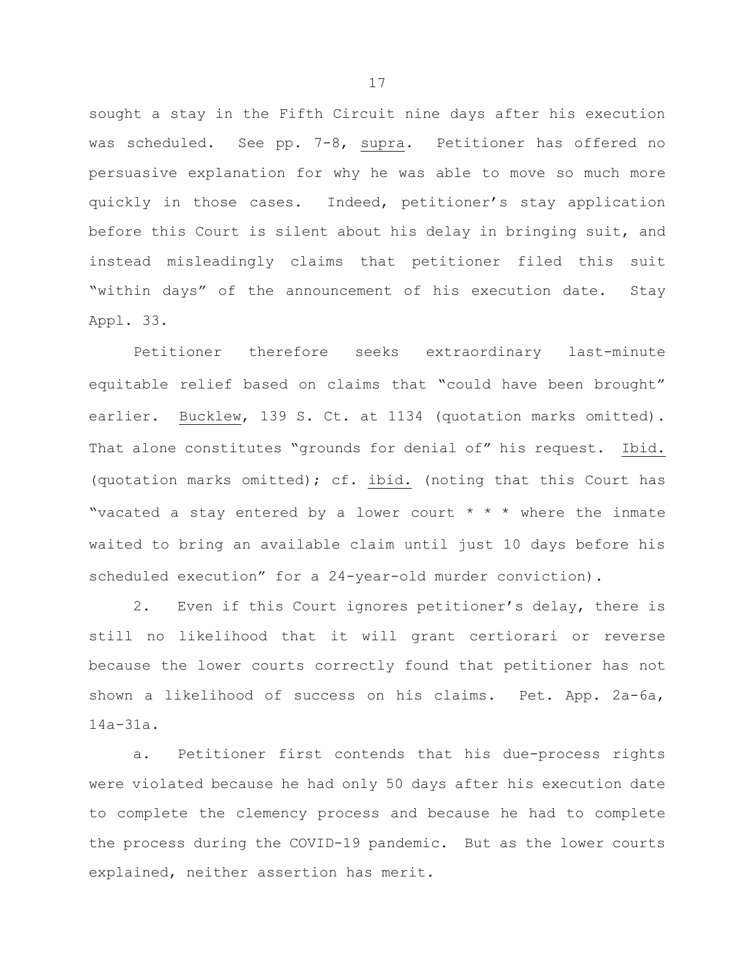sought a stay in the Fifth Circuit nine days after his execution was scheduled. See pp. 7-8, supra. Petitioner has offered no persuasive explanation for why he was able to move so much more quickly in those cases. Indeed, petitioner's stay application before this Court is silent about his delay in bringing suit, and instead misleadingly claims that petitioner filed this suit "within days" of the announcement of his execution date. Stay Appl. 33.

Petitioner therefore seeks extraordinary last-minute equitable relief based on claims that "could have been brought" earlier. Bucklew, 139 S. Ct. at 1134 (quotation marks omitted). That alone constitutes "grounds for denial of" his request. Ibid. (quotation marks omitted); cf. ibid. (noting that this Court has "vacated a stay entered by a lower court  $* * *$  where the inmate waited to bring an available claim until just 10 days before his scheduled execution" for a 24-year-old murder conviction).

2. Even if this Court ignores petitioner's delay, there is still no likelihood that it will grant certiorari or reverse because the lower courts correctly found that petitioner has not shown a likelihood of success on his claims. Pet. App. 2a-6a, 14a-31a.

a. Petitioner first contends that his due-process rights were violated because he had only 50 days after his execution date to complete the clemency process and because he had to complete the process during the COVID-19 pandemic. But as the lower courts explained, neither assertion has merit.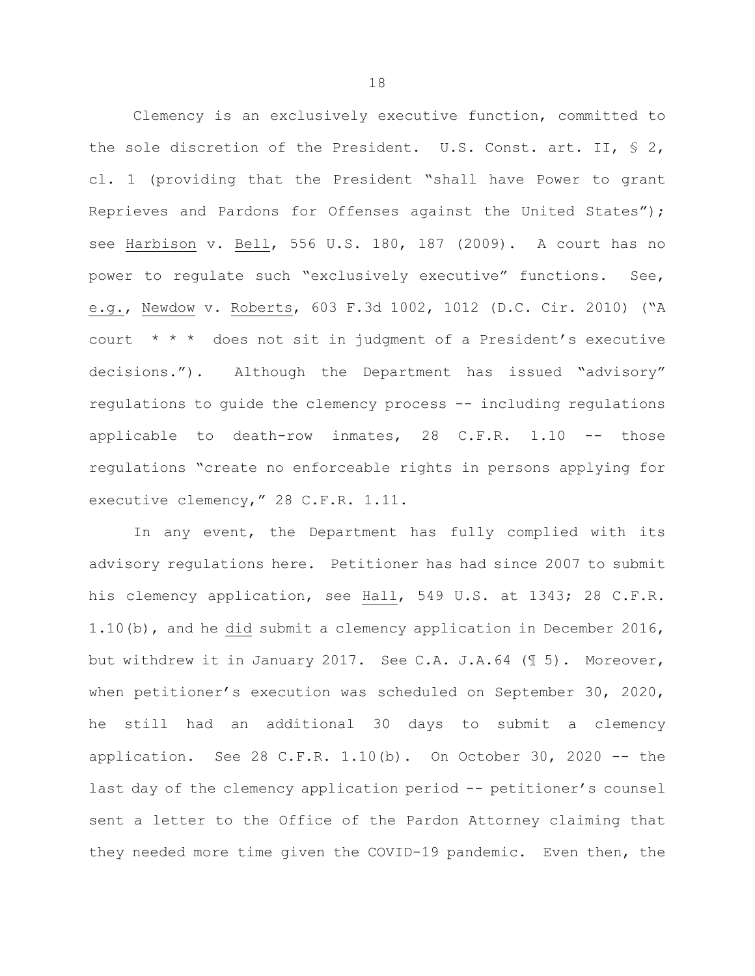Clemency is an exclusively executive function, committed to the sole discretion of the President. U.S. Const. art. II, § 2, cl. 1 (providing that the President "shall have Power to grant Reprieves and Pardons for Offenses against the United States"); see Harbison v. Bell, 556 U.S. 180, 187 (2009). A court has no power to regulate such "exclusively executive" functions. See, e.g., Newdow v. Roberts, 603 F.3d 1002, 1012 (D.C. Cir. 2010) ("A court  $* * *$  does not sit in judgment of a President's executive decisions."). Although the Department has issued "advisory" regulations to guide the clemency process -- including regulations applicable to death-row inmates, 28 C.F.R. 1.10 -- those regulations "create no enforceable rights in persons applying for executive clemency," 28 C.F.R. 1.11.

In any event, the Department has fully complied with its advisory regulations here. Petitioner has had since 2007 to submit his clemency application, see Hall, 549 U.S. at 1343; 28 C.F.R. 1.10(b), and he did submit a clemency application in December 2016, but withdrew it in January 2017. See C.A. J.A.64 (¶ 5). Moreover, when petitioner's execution was scheduled on September 30, 2020, he still had an additional 30 days to submit a clemency application. See 28 C.F.R.  $1.10(b)$ . On October 30, 2020 -- the last day of the clemency application period -- petitioner's counsel sent a letter to the Office of the Pardon Attorney claiming that they needed more time given the COVID-19 pandemic. Even then, the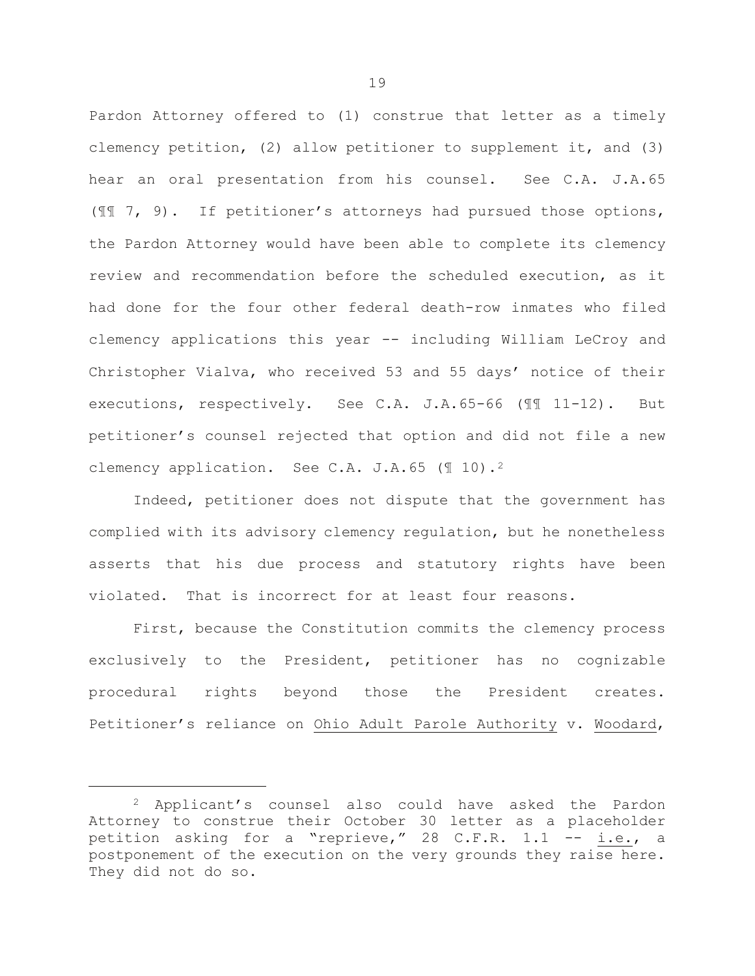Pardon Attorney offered to (1) construe that letter as a timely clemency petition, (2) allow petitioner to supplement it, and (3) hear an oral presentation from his counsel. See C.A. J.A.65 (¶¶ 7, 9). If petitioner's attorneys had pursued those options, the Pardon Attorney would have been able to complete its clemency review and recommendation before the scheduled execution, as it had done for the four other federal death-row inmates who filed clemency applications this year -- including William LeCroy and Christopher Vialva, who received 53 and 55 days' notice of their executions, respectively. See C.A. J.A.65-66 (¶¶ 11-12). But petitioner's counsel rejected that option and did not file a new clemency application. See C.A. J.A.65 (¶ 10).[2](#page-19-0) 

Indeed, petitioner does not dispute that the government has complied with its advisory clemency regulation, but he nonetheless asserts that his due process and statutory rights have been violated. That is incorrect for at least four reasons.

First, because the Constitution commits the clemency process exclusively to the President, petitioner has no cognizable procedural rights beyond those the President creates. Petitioner's reliance on Ohio Adult Parole Authority v. Woodard,

ī

<span id="page-19-0"></span><sup>2</sup> Applicant's counsel also could have asked the Pardon Attorney to construe their October 30 letter as a placeholder petition asking for a "reprieve," 28 C.F.R. 1.1 -- i.e., a postponement of the execution on the very grounds they raise here. They did not do so.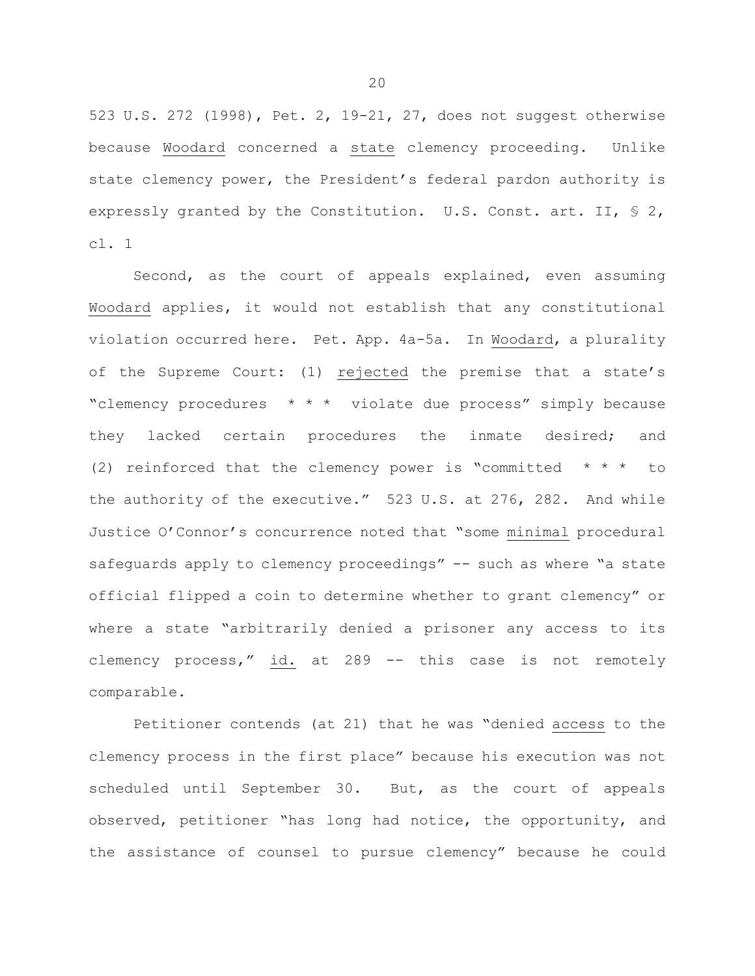523 U.S. 272 (1998), Pet. 2, 19-21, 27, does not suggest otherwise because Woodard concerned a state clemency proceeding. Unlike state clemency power, the President's federal pardon authority is expressly granted by the Constitution. U.S. Const. art. II, § 2, cl. 1

Second, as the court of appeals explained, even assuming Woodard applies, it would not establish that any constitutional violation occurred here. Pet. App. 4a-5a. In Woodard, a plurality of the Supreme Court: (1) rejected the premise that a state's "clemency procedures \* \* \* violate due process" simply because they lacked certain procedures the inmate desired; and (2) reinforced that the clemency power is "committed  $* * * *$  to the authority of the executive." 523 U.S. at 276, 282. And while Justice O'Connor's concurrence noted that "some minimal procedural safeguards apply to clemency proceedings" -- such as where "a state official flipped a coin to determine whether to grant clemency" or where a state "arbitrarily denied a prisoner any access to its clemency process," id. at 289 -- this case is not remotely comparable.

Petitioner contends (at 21) that he was "denied access to the clemency process in the first place" because his execution was not scheduled until September 30. But, as the court of appeals observed, petitioner "has long had notice, the opportunity, and the assistance of counsel to pursue clemency" because he could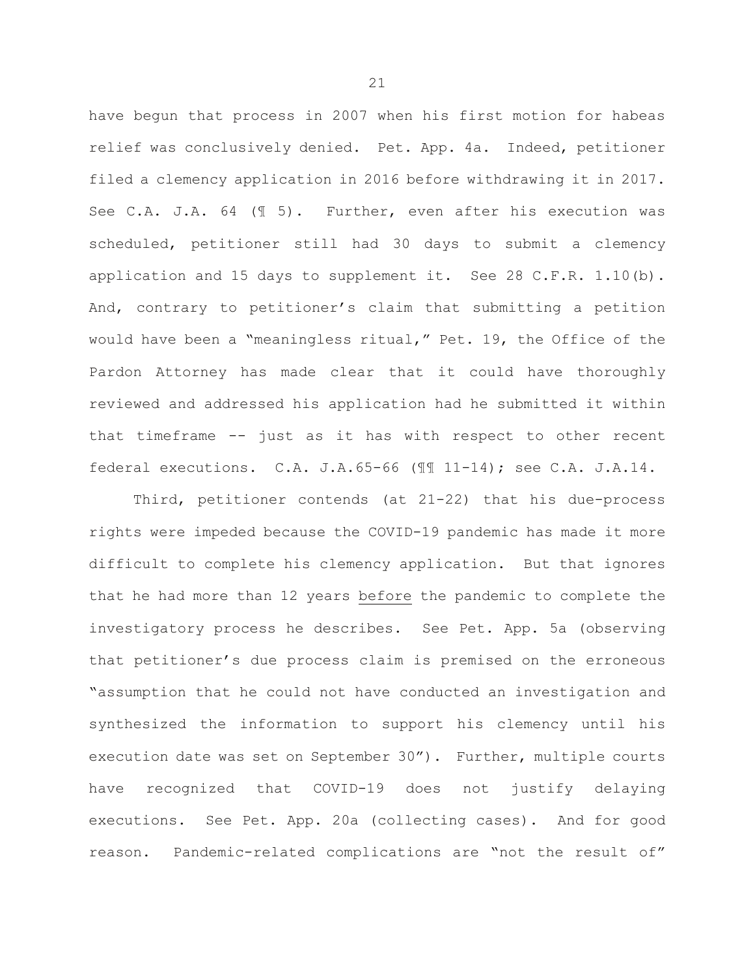have begun that process in 2007 when his first motion for habeas relief was conclusively denied. Pet. App. 4a. Indeed, petitioner filed a clemency application in 2016 before withdrawing it in 2017. See C.A. J.A. 64 (¶ 5). Further, even after his execution was scheduled, petitioner still had 30 days to submit a clemency application and 15 days to supplement it. See 28 C.F.R.  $1.10(b)$ . And, contrary to petitioner's claim that submitting a petition would have been a "meaningless ritual," Pet. 19, the Office of the Pardon Attorney has made clear that it could have thoroughly reviewed and addressed his application had he submitted it within that timeframe -- just as it has with respect to other recent federal executions. C.A. J.A.65-66 (¶¶ 11-14); see C.A. J.A.14.

Third, petitioner contends (at 21-22) that his due-process rights were impeded because the COVID-19 pandemic has made it more difficult to complete his clemency application. But that ignores that he had more than 12 years before the pandemic to complete the investigatory process he describes. See Pet. App. 5a (observing that petitioner's due process claim is premised on the erroneous "assumption that he could not have conducted an investigation and synthesized the information to support his clemency until his execution date was set on September 30"). Further, multiple courts have recognized that COVID-19 does not justify delaying executions. See Pet. App. 20a (collecting cases). And for good reason. Pandemic-related complications are "not the result of"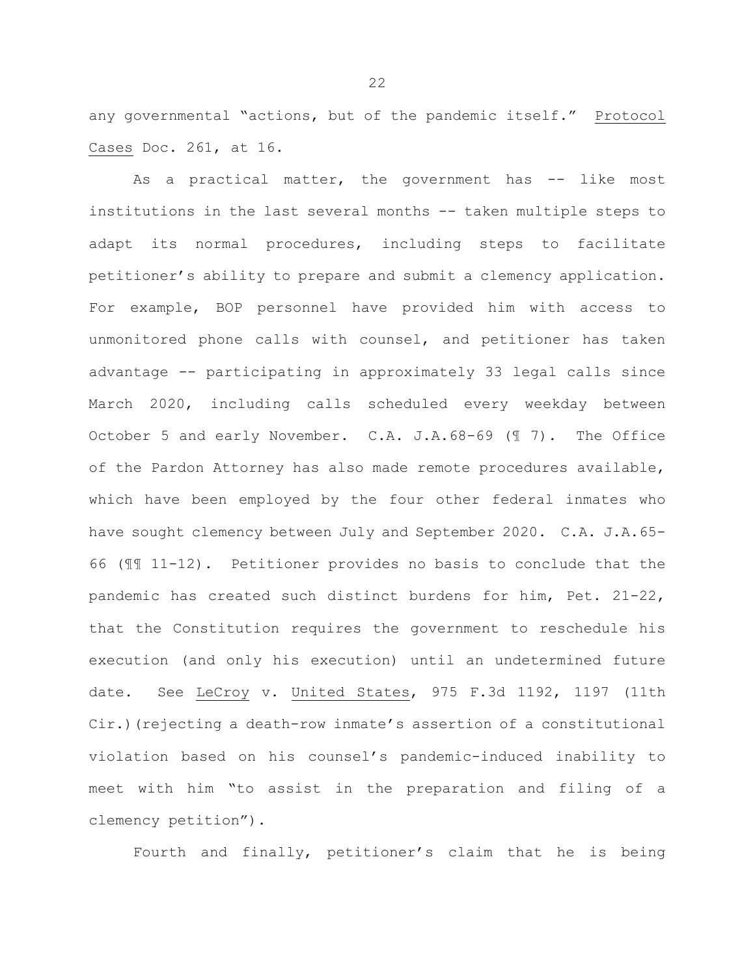any governmental "actions, but of the pandemic itself." Protocol Cases Doc. 261, at 16.

As a practical matter, the government has -- like most institutions in the last several months -- taken multiple steps to adapt its normal procedures, including steps to facilitate petitioner's ability to prepare and submit a clemency application. For example, BOP personnel have provided him with access to unmonitored phone calls with counsel, and petitioner has taken advantage -- participating in approximately 33 legal calls since March 2020, including calls scheduled every weekday between October 5 and early November. C.A. J.A.68-69 (¶ 7). The Office of the Pardon Attorney has also made remote procedures available, which have been employed by the four other federal inmates who have sought clemency between July and September 2020. C.A. J.A.65- 66 (¶¶ 11-12). Petitioner provides no basis to conclude that the pandemic has created such distinct burdens for him, Pet. 21-22, that the Constitution requires the government to reschedule his execution (and only his execution) until an undetermined future date. See LeCroy v. United States, 975 F.3d 1192, 1197 (11th Cir.)(rejecting a death-row inmate's assertion of a constitutional violation based on his counsel's pandemic-induced inability to meet with him "to assist in the preparation and filing of a clemency petition").

Fourth and finally, petitioner's claim that he is being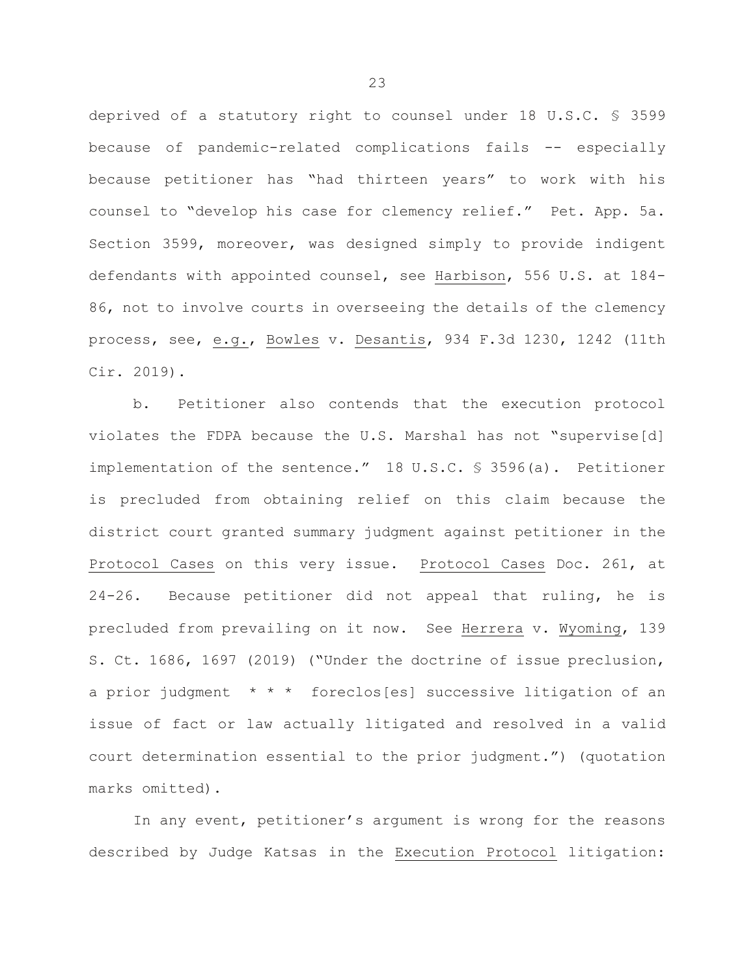deprived of a statutory right to counsel under 18 U.S.C. § 3599 because of pandemic-related complications fails -- especially because petitioner has "had thirteen years" to work with his counsel to "develop his case for clemency relief." Pet. App. 5a. Section 3599, moreover, was designed simply to provide indigent defendants with appointed counsel, see Harbison, 556 U.S. at 184- 86, not to involve courts in overseeing the details of the clemency process, see, e.g., Bowles v. Desantis, 934 F.3d 1230, 1242 (11th Cir. 2019).

b. Petitioner also contends that the execution protocol violates the FDPA because the U.S. Marshal has not "supervise[d] implementation of the sentence." 18 U.S.C. § 3596(a). Petitioner is precluded from obtaining relief on this claim because the district court granted summary judgment against petitioner in the Protocol Cases on this very issue. Protocol Cases Doc. 261, at 24-26. Because petitioner did not appeal that ruling, he is precluded from prevailing on it now. See Herrera v. Wyoming, 139 S. Ct. 1686, 1697 (2019) ("Under the doctrine of issue preclusion, a prior judgment \* \* \* foreclos[es] successive litigation of an issue of fact or law actually litigated and resolved in a valid court determination essential to the prior judgment.") (quotation marks omitted).

In any event, petitioner's argument is wrong for the reasons described by Judge Katsas in the Execution Protocol litigation: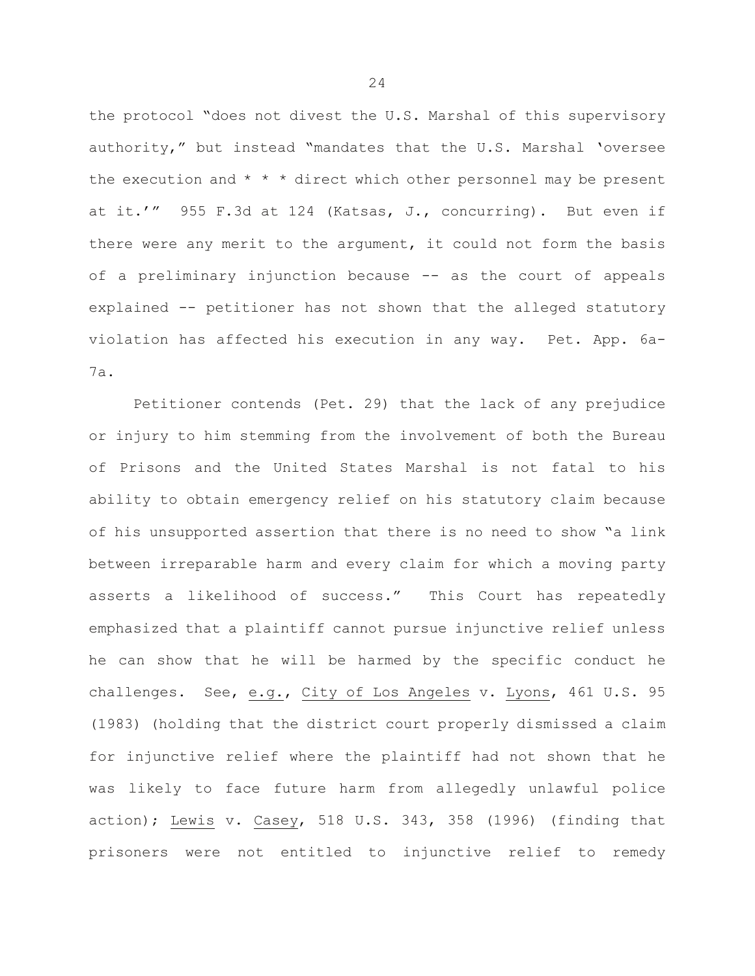the protocol "does not divest the U.S. Marshal of this supervisory authority," but instead "mandates that the U.S. Marshal 'oversee the execution and  $* * *$  direct which other personnel may be present at it.'" 955 F.3d at 124 (Katsas, J., concurring). But even if there were any merit to the argument, it could not form the basis of a preliminary injunction because -- as the court of appeals explained -- petitioner has not shown that the alleged statutory violation has affected his execution in any way. Pet. App. 6a-7a.

Petitioner contends (Pet. 29) that the lack of any prejudice or injury to him stemming from the involvement of both the Bureau of Prisons and the United States Marshal is not fatal to his ability to obtain emergency relief on his statutory claim because of his unsupported assertion that there is no need to show "a link between irreparable harm and every claim for which a moving party asserts a likelihood of success." This Court has repeatedly emphasized that a plaintiff cannot pursue injunctive relief unless he can show that he will be harmed by the specific conduct he challenges. See, e.g., City of Los Angeles v. Lyons, 461 U.S. 95 (1983) (holding that the district court properly dismissed a claim for injunctive relief where the plaintiff had not shown that he was likely to face future harm from allegedly unlawful police action); Lewis v. Casey, 518 U.S. 343, 358 (1996) (finding that prisoners were not entitled to injunctive relief to remedy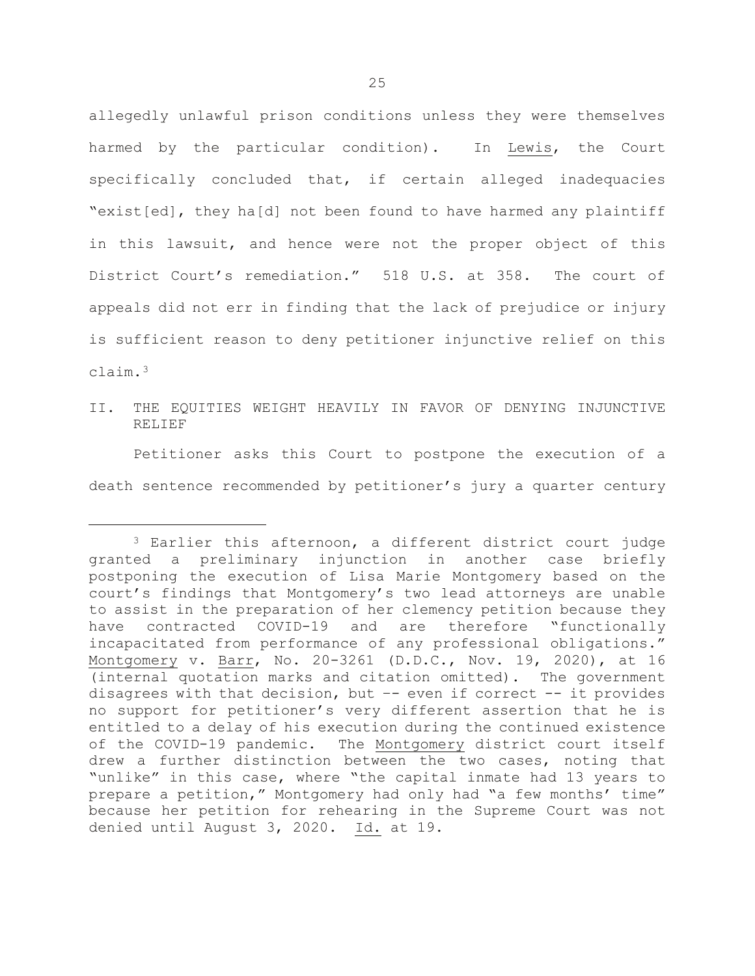allegedly unlawful prison conditions unless they were themselves harmed by the particular condition). In Lewis, the Court specifically concluded that, if certain alleged inadequacies "exist[ed], they ha[d] not been found to have harmed any plaintiff in this lawsuit, and hence were not the proper object of this District Court's remediation." 518 U.S. at 358. The court of appeals did not err in finding that the lack of prejudice or injury is sufficient reason to deny petitioner injunctive relief on this claim.[3](#page-25-0) 

II. THE EQUITIES WEIGHT HEAVILY IN FAVOR OF DENYING INJUNCTIVE RELIEF

Petitioner asks this Court to postpone the execution of a death sentence recommended by petitioner's jury a quarter century

Ĩ.

<span id="page-25-0"></span><sup>3</sup> Earlier this afternoon, a different district court judge granted a preliminary injunction in another case briefly postponing the execution of Lisa Marie Montgomery based on the court's findings that Montgomery's two lead attorneys are unable to assist in the preparation of her clemency petition because they have contracted COVID-19 and are therefore "functionally incapacitated from performance of any professional obligations." Montgomery v. Barr, No. 20-3261 (D.D.C., Nov. 19, 2020), at 16 (internal quotation marks and citation omitted). The government disagrees with that decision, but –- even if correct -- it provides no support for petitioner's very different assertion that he is entitled to a delay of his execution during the continued existence of the COVID-19 pandemic. The Montgomery district court itself drew a further distinction between the two cases, noting that "unlike" in this case, where "the capital inmate had 13 years to prepare a petition," Montgomery had only had "a few months' time" because her petition for rehearing in the Supreme Court was not denied until August 3, 2020. Id. at 19.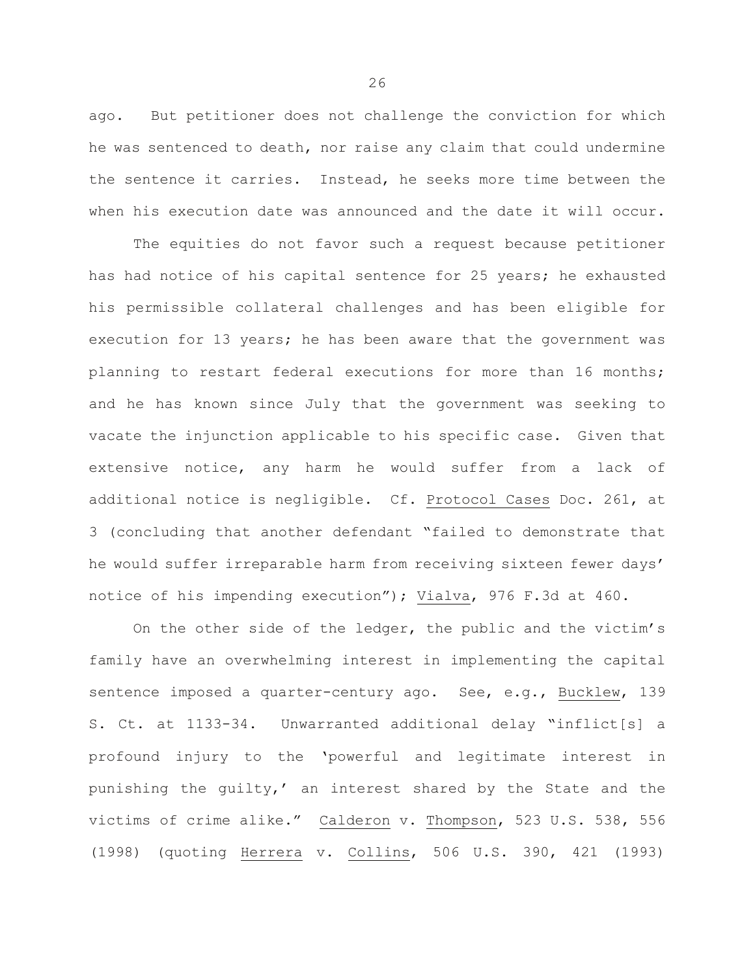ago. But petitioner does not challenge the conviction for which he was sentenced to death, nor raise any claim that could undermine the sentence it carries. Instead, he seeks more time between the when his execution date was announced and the date it will occur.

The equities do not favor such a request because petitioner has had notice of his capital sentence for 25 years; he exhausted his permissible collateral challenges and has been eligible for execution for 13 years; he has been aware that the government was planning to restart federal executions for more than 16 months; and he has known since July that the government was seeking to vacate the injunction applicable to his specific case. Given that extensive notice, any harm he would suffer from a lack of additional notice is negligible. Cf. Protocol Cases Doc. 261, at 3 (concluding that another defendant "failed to demonstrate that he would suffer irreparable harm from receiving sixteen fewer days' notice of his impending execution"); Vialva, 976 F.3d at 460.

On the other side of the ledger, the public and the victim's family have an overwhelming interest in implementing the capital sentence imposed a quarter-century ago. See, e.g., Bucklew, 139 S. Ct. at 1133-34. Unwarranted additional delay "inflict[s] a profound injury to the 'powerful and legitimate interest in punishing the guilty,' an interest shared by the State and the victims of crime alike." Calderon v. Thompson, 523 U.S. 538, 556 (1998) (quoting Herrera v. Collins, 506 U.S. 390, 421 (1993)